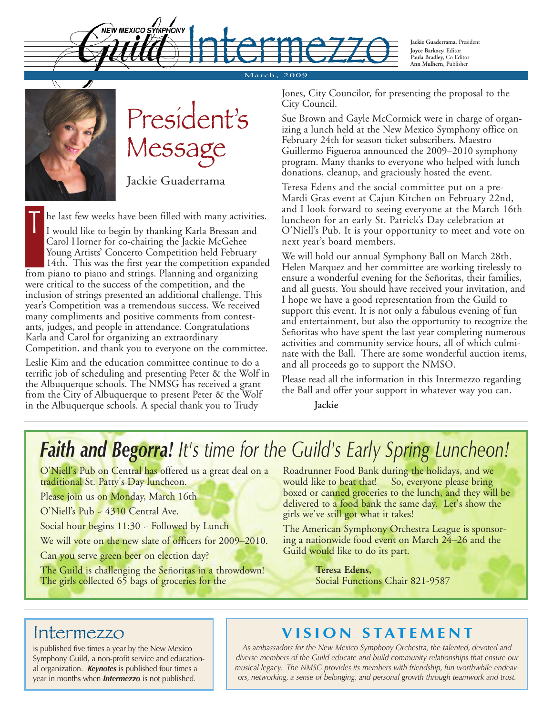**Jackie Guaderrama,** President **Joyce Barkocy,** Editor **Paula Bradley,** Co Editor **Ann Mulhern,** Publisher

 $M$ arch, Harry Harry (1974)



President's Message

Jackie Guaderrama

he last few weeks have been filled with many activities. I would like to begin by thanking Karla Bressan and Carol Horner for co-chairing the Jackie McGehee Young Artists' Concerto Competition held February 14th. This was the first year the competition expanded from piano to piano and strings. Planning and organizing were critical to the success of the competition, and the inclusion of strings presented an additional challenge. This year's Competition was a tremendous success. We received  $\mathbf{I}$ 

NEW MEXICO SYMPHONY

many compliments and positive comments from contestants, judges, and people in attendance. Congratulations Karla and Carol for organizing an extraordinary Competition, and thank you to everyone on the committee.

Leslie Kim and the education committee continue to do a terrific job of scheduling and presenting Peter & the Wolf in the Albuquerque schools. The NMSG has received a grant from the City of Albuquerque to present Peter & the Wolf in the Albuquerque schools. A special thank you to Trudy

Jones, City Councilor, for presenting the proposal to the City Council.

Sue Brown and Gayle McCormick were in charge of organizing a lunch held at the New Mexico Symphony office on February 24th for season ticket subscribers. Maestro Guillermo Figueroa announced the 2009–2010 symphony program. Many thanks to everyone who helped with lunch donations, cleanup, and graciously hosted the event.

Teresa Edens and the social committee put on a pre-Mardi Gras event at Cajun Kitchen on February 22nd, and I look forward to seeing everyone at the March 16th luncheon for an early St. Patrick's Day celebration at O'Niell's Pub. It is your opportunity to meet and vote on next year's board members.

We will hold our annual Symphony Ball on March 28th. Helen Marquez and her committee are working tirelessly to ensure a wonderful evening for the Señoritas, their families, and all guests. You should have received your invitation, and I hope we have a good representation from the Guild to support this event. It is not only a fabulous evening of fun and entertainment, but also the opportunity to recognize the Señoritas who have spent the last year completing numerous activities and community service hours, all of which culminate with the Ball. There are some wonderful auction items, and all proceeds go to support the NMSO.

Please read all the information in this Intermezzo regarding the Ball and offer your support in whatever way you can.

**Jackie**

#### *Faith and Begorra! It's time for the Guild's Early Spring Luncheon!*

O'Niell's Pub on Central has offered us a great deal on a traditional St. Patty's Day luncheon.

Please join us on Monday, March 16th

O'Niell's Pub ~ 4310 Central Ave.

Social hour begins 11:30 - Followed by Lunch

We will vote on the new slate of officers for 2009–2010.

Can you serve green beer on election day?

The Guild is challenging the Señoritas in a throwdown! The girls collected 65 bags of groceries for the

Roadrunner Food Bank during the holidays, and we<br>would like to beat that! So, everyone please bring So, everyone please bring boxed or canned groceries to the lunch, and they will be delivered to a food bank the same day. Let's show the girls we've still got what it takes!

The American Symphony Orchestra League is sponsoring a nationwide food event on March 24–26 and the Guild would like to do its part.

> **Teresa Edens,** Social Functions Chair 821-9587

is published five times a year by the New Mexico Symphony Guild, a non-profit service and educational organization. *Keynotes* is published four times a year in months when *Intermezzo* is not published.

#### Intermezzo **V I S I O N S TAT E M E N T**

*As ambassadors for the New Mexico Symphony Orchestra, the talented, devoted and diverse members of the Guild educate and build community relationships that ensure our musical legacy. The NMSG provides its members with friendship, fun worthwhile endeavors, networking, a sense of belonging, and personal growth through teamwork and trust.*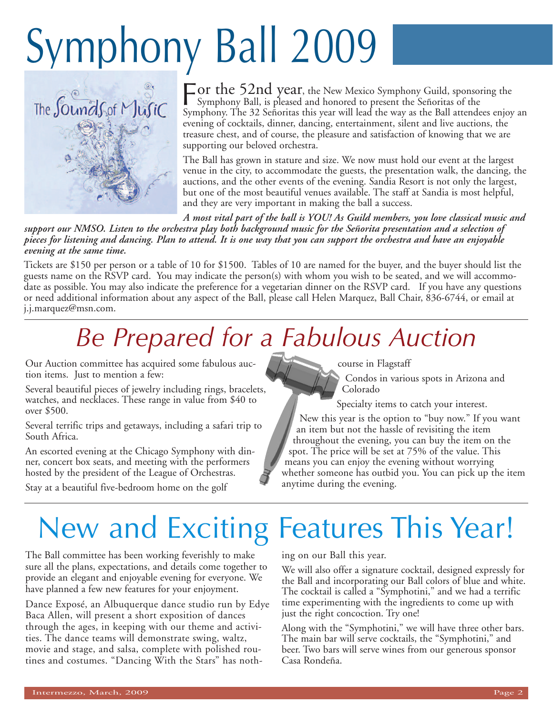# Symphony Ball 2009



For the 52nd year, the New Mexico Symphony Guild, sponsoring the Symphony Ball, is pleased and honored to present the Señoritos of the Symphony Ball, is pleased and honored to present the Señoritas of the Symphony. The 32 Señoritas this year will lead the way as the Ball attendees enjoy an evening of cocktails, dinner, dancing, entertainment, silent and live auctions, the treasure chest, and of course, the pleasure and satisfaction of knowing that we are supporting our beloved orchestra.

The Ball has grown in stature and size. We now must hold our event at the largest venue in the city, to accommodate the guests, the presentation walk, the dancing, the auctions, and the other events of the evening. Sandia Resort is not only the largest, but one of the most beautiful venues available. The staff at Sandia is most helpful, and they are very important in making the ball a success.

*A most vital part of the ball is YOU! As Guild members, you love classical music and* support our NMSO. Listen to the orchestra play both background music for the Señorita presentation and a selection of pieces for listening and dancing. Plan to attend. It is one way that you can support the orchestra and have an enjoyable *evening at the same time.*

Tickets are \$150 per person or a table of 10 for \$1500. Tables of 10 are named for the buyer, and the buyer should list the guests name on the RSVP card. You may indicate the person(s) with whom you wish to be seated, and we will accommodate as possible. You may also indicate the preference for a vegetarian dinner on the RSVP card. If you have any questions or need additional information about any aspect of the Ball, please call Helen Marquez, Ball Chair, 836-6744, or email at j.j.marquez@msn.com.

### *Be Prepared for a Fabulous Auction*

Our Auction committee has acquired some fabulous auction items. Just to mention a few:

Several beautiful pieces of jewelry including rings, bracelets, watches, and necklaces. These range in value from \$40 to over \$500.

Several terrific trips and getaways, including a safari trip to South Africa.

An escorted evening at the Chicago Symphony with dinner, concert box seats, and meeting with the performers hosted by the president of the League of Orchestras.

Stay at a beautiful five-bedroom home on the golf

course in Flagstaff

Condos in various spots in Arizona and Colorado

Specialty items to catch your interest.

New this year is the option to "buy now." If you want an item but not the hassle of revisiting the item throughout the evening, you can buy the item on the spot. The price will be set at 75% of the value. This means you can enjoy the evening without worrying whether someone has outbid you. You can pick up the item anytime during the evening.

## New and Exciting Features This Year!

The Ball committee has been working feverishly to make sure all the plans, expectations, and details come together to provide an elegant and enjoyable evening for everyone. We have planned a few new features for your enjoyment.

Dance Exposé, an Albuquerque dance studio run by Edye Baca Allen, will present a short exposition of dances through the ages, in keeping with our theme and activities. The dance teams will demonstrate swing, waltz, movie and stage, and salsa, complete with polished routines and costumes. "Dancing With the Stars" has nothing on our Ball this year.

We will also offer a signature cocktail, designed expressly for the Ball and incorporating our Ball colors of blue and white. The cocktail is called a "Symphotini," and we had a terrific time experimenting with the ingredients to come up with just the right concoction. Try one!

Along with the "Symphotini," we will have three other bars. The main bar will serve cocktails, the "Symphotini," and beer. Two bars will serve wines from our generous sponsor Casa Rondeña.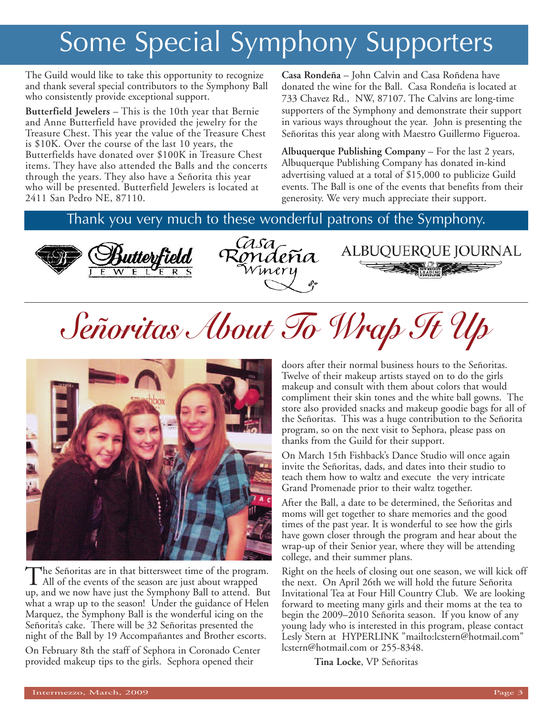### Some Special Symphony Supporters

The Guild would like to take this opportunity to recognize and thank several special contributors to the Symphony Ball who consistently provide exceptional support.

**Butterfield Jewelers** – This is the 10th year that Bernie and Anne Butterfield have provided the jewelry for the Treasure Chest. This year the value of the Treasure Chest is \$10K. Over the course of the last 10 years, the Butterfields have donated over \$100K in Treasure Chest items. They have also attended the Balls and the concerts through the years. They also have a Señorita this year who will be presented. Butterfield Jewelers is located at 2411 San Pedro NE, 87110.

**Casa Rondeña** – John Calvin and Casa Roñdena have donated the wine for the Ball. Casa Rondeña is located at 733 Chavez Rd., NW, 87107. The Calvins are long-time supporters of the Symphony and demonstrate their support in various ways throughout the year. John is presenting the Señoritas this year along with Maestro Guillermo Figueroa.

**Albuquerque Publishing Company** – For the last 2 years, Albuquerque Publishing Company has donated in-kind advertising valued at a total of \$15,000 to publicize Guild events. The Ball is one of the events that benefits from their generosity. We very much appreciate their support.

ALBUQUERQUE JOURNAL

Thank you very much to these wonderful patrons of the Symphony.



Casazondeña

*Señoritas About To Wrap It Up*



The Señoritas are in that bittersweet time of the program.<br>All of the events of the season are just about wrapped up, and we now have just the Symphony Ball to attend. But what a wrap up to the season! Under the guidance of Helen Marquez, the Symphony Ball is the wonderful icing on the Señorita's cake. There will be 32 Señoritas presented the night of the Ball by 19 Accompañantes and Brother escorts.

On February 8th the staff of Sephora in Coronado Center provided makeup tips to the girls. Sephora opened their

doors after their normal business hours to the Señoritas. Twelve of their makeup artists stayed on to do the girls makeup and consult with them about colors that would compliment their skin tones and the white ball gowns. The store also provided snacks and makeup goodie bags for all of the Señoritas. This was a huge contribution to the Señorita program, so on the next visit to Sephora, please pass on thanks from the Guild for their support.

On March 15th Fishback's Dance Studio will once again invite the Señoritas, dads, and dates into their studio to teach them how to waltz and execute the very intricate Grand Promenade prior to their waltz together.

After the Ball, a date to be determined, the Señoritas and moms will get together to share memories and the good times of the past year. It is wonderful to see how the girls have gown closer through the program and hear about the wrap-up of their Senior year, where they will be attending college, and their summer plans.

Right on the heels of closing out one season, we will kick off the next. On April 26th we will hold the future Señorita Invitational Tea at Four Hill Country Club. We are looking forward to meeting many girls and their moms at the tea to begin the 2009–2010 Señorita season. If you know of any young lady who is interested in this program, please contact Lesly Stern at HYPERLINK "mailto:lcstern@hotmail.com" lcstern@hotmail.com or 255-8348.

**Tina Locke**, VP Señoritas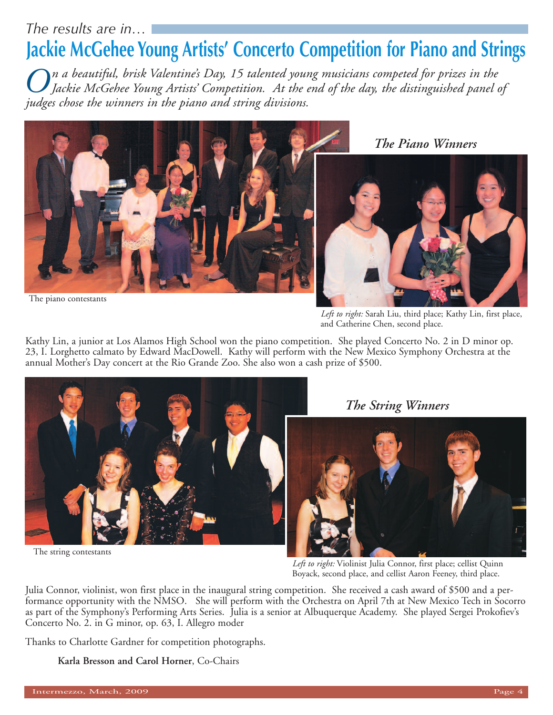#### *The results are in…*

#### **Jackie McGehee Young Artists' Concerto Competition for Piano and Strings**

 $\bigodot$ n a beautiful, brisk Valentine's Day, 15 talented young musicians competed for prizes in the<br>Jackie McGehee Young Artists' Competition. At the end of the day, the distinguished panel of *judges chose the winners in the piano and string divisions.*



The piano contestants

*Left to right:* Sarah Liu, third place; Kathy Lin, first place, and Catherine Chen, second place.

Kathy Lin, a junior at Los Alamos High School won the piano competition. She played Concerto No. 2 in D minor op. 23, I. Lorghetto calmato by Edward MacDowell. Kathy will perform with the New Mexico Symphony Orchestra at the annual Mother's Day concert at the Rio Grande Zoo. She also won a cash prize of \$500.



The string contestants

*The String Winners*



*Left to right:* Violinist Julia Connor, first place; cellist Quinn Boyack, second place, and cellist Aaron Feeney, third place.

Julia Connor, violinist, won first place in the inaugural string competition. She received a cash award of \$500 and a performance opportunity with the NMSO. She will perform with the Orchestra on April 7th at New Mexico Tech in Socorro as part of the Symphony's Performing Arts Series. Julia is a senior at Albuquerque Academy. She played Sergei Prokofiev's Concerto No. 2. in G minor, op. 63, I. Allegro moder

Thanks to Charlotte Gardner for competition photographs.

**Karla Bresson and Carol Horner**, Co-Chairs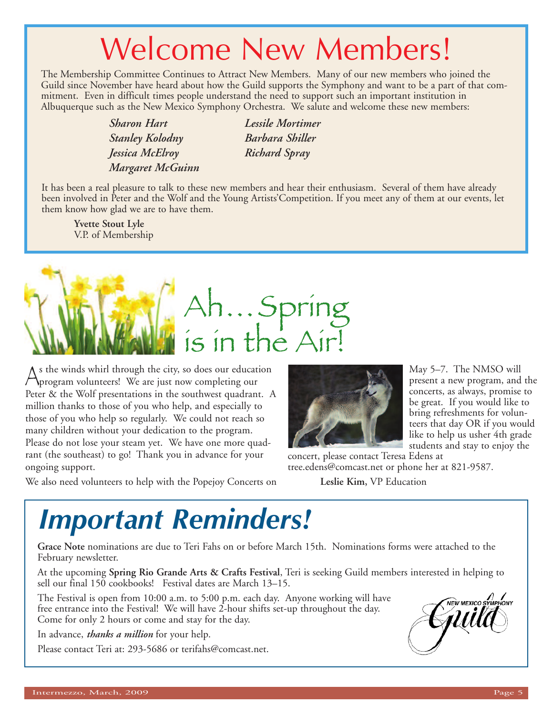### Welcome New Members!

The Membership Committee Continues to Attract New Members. Many of our new members who joined the Guild since November have heard about how the Guild supports the Symphony and want to be a part of that commitment. Even in difficult times people understand the need to support such an important institution in Albuquerque such as the New Mexico Symphony Orchestra. We salute and welcome these new members:

> *Sharon Hart Stanley Kolodny Jessica McElroy Margaret McGuinn*

*Lessile Mortimer Barbara Shiller Richard Spray*

It has been a real pleasure to talk to these new members and hear their enthusiasm. Several of them have already been involved in Peter and the Wolf and the Young Artists'Competition. If you meet any of them at our events, let them know how glad we are to have them.

**Yvette Stout Lyle** V.P. of Membership



 $\bigwedge$ s the winds whirl through the city, so does our education<br>program volunteers! We are just now completing our<br>pater  $\frac{8z}{\pi}$  the Welf presentations in the southwest quadrant Peter & the Wolf presentations in the southwest quadrant. A million thanks to those of you who help, and especially to those of you who help so regularly. We could not reach so many children without your dedication to the program. Please do not lose your steam yet. We have one more quadrant (the southeast) to go! Thank you in advance for your ongoing support.

We also need volunteers to help with the Popejoy Concerts on

May 5–7. The NMSO will present a new program, and the concerts, as always, promise to be great. If you would like to bring refreshments for volunteers that day OR if you would like to help us usher 4th grade students and stay to enjoy the

concert, please contact Teresa Edens at tree.edens@comcast.net or phone her at 821-9587.

**Leslie Kim,** VP Education

### *Important Reminders!*

**Grace Note** nominations are due to Teri Fahs on or before March 15th. Nominations forms were attached to the February newsletter.

At the upcoming **Spring Rio Grande Arts & Crafts Festival**, Teri is seeking Guild members interested in helping to sell our final 150 cookbooks! Festival dates are March 13–15.

The Festival is open from 10:00 a.m. to 5:00 p.m. each day. Anyone working will have free entrance into the Festival! We will have 2-hour shifts set-up throughout the day. Come for only 2 hours or come and stay for the day.

In advance, *thanks a million* for your help.

Please contact Teri at: 293-5686 or terifahs@comcast.net.